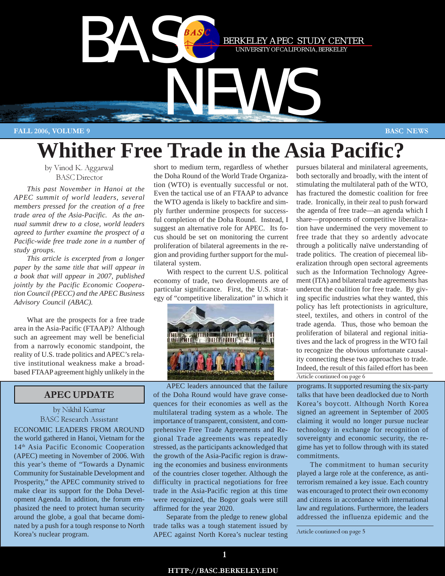

# **Whither Free Trade in the Asia Pacific?**

by Vinod K. Aggarwal BASC Director

*This past November in Hanoi at the APEC summit of world leaders, several members pressed for the creation of a free trade area of the Asia-Pacific. As the annual summit drew to a close, world leaders agreed to further examine the prospect of a Pacific-wide free trade zone in a number of study groups.*

*This article is excerpted from a longer paper by the same title that will appear in a book that will appear in 2007, published jointly by the Pacific Economic Cooperation Council (PECC) and the APEC Business Advisory Council (ABAC).*

What are the prospects for a free trade area in the Asia-Pacific (FTAAP)? Although such an agreement may well be beneficial from a narrowly economic standpoint, the reality of U.S. trade politics and APEC's relative institutional weakness make a broadbased FTAAP agreement highly unlikely in the

# APEC UPDATE

### by Nikhil Kumar BASC Research Assistant

ECONOMIC LEADERS FROM AROUND the world gathered in Hanoi, Vietnam for the 14th Asia Pacific Economic Cooperation (APEC) meeting in November of 2006. With this year's theme of "Towards a Dynamic Community for Sustainable Development and Prosperity," the APEC community strived to make clear its support for the Doha Development Agenda. In addition, the forum emphasized the need to protect human security around the globe, a goal that became dominated by a push for a tough response to North Korea's nuclear program.

short to medium term, regardless of whether the Doha Round of the World Trade Organization (WTO) is eventually successful or not. Even the tactical use of an FTAAP to advance the WTO agenda is likely to backfire and simply further undermine prospects for successful completion of the Doha Round. Instead, I suggest an alternative role for APEC. Its focus should be set on monitoring the current proliferation of bilateral agreements in the region and providing further support for the multilateral system.

With respect to the current U.S. political economy of trade, two developments are of particular significance. First, the U.S. strategy of "competitive liberalization" in which it



APEC leaders announced that the failure of the Doha Round would have grave consequences for their economies as well as the multilateral trading system as a whole. The importance of transparent, consistent, and comprehensive Free Trade Agreements and Regional Trade agreements was repeatedly stressed, as the participants acknowledged that the growth of the Asia-Pacific region is drawing the economies and business environments of the countries closer together. Although the difficulty in practical negotiations for free trade in the Asia-Pacific region at this time were recognized, the Bogor goals were still affirmed for the year 2020.

Separate from the pledge to renew global trade talks was a tough statement issued by APEC against North Korea's nuclear testing

Article continued on page 6 pursues bilateral and minilateral agreements, both sectorally and broadly, with the intent of stimulating the multilateral path of the WTO, has fractured the domestic coalition for free trade. Ironically, in their zeal to push forward the agenda of free trade—an agenda which I share—proponents of competitive liberalization have undermined the very movement to free trade that they so ardently advocate through a politically naïve understanding of trade politics. The creation of piecemeal liberalization through open sectoral agreements such as the Information Technology Agreement (ITA) and bilateral trade agreements has undercut the coalition for free trade. By giving specific industries what they wanted, this policy has left protectionists in agriculture, steel, textiles, and others in control of the trade agenda. Thus, those who bemoan the proliferation of bilateral and regional initiatives and the lack of progress in the WTO fail to recognize the obvious unfortunate causality connecting these two approaches to trade. Indeed, the result of this failed effort has been

programs. It supported resuming the six-party talks that have been deadlocked due to North Korea's boycott. Although North Korea signed an agreement in September of 2005 claiming it would no longer pursue nuclear technology in exchange for recognition of sovereignty and economic security, the regime has yet to follow through with its stated commitments.

The commitment to human security played a large role at the conference, as antiterrorism remained a key issue. Each country was encouraged to protect their own economy and citizens in accordance with international law and regulations. Furthermore, the leaders addressed the influenza epidemic and the

Article continued on page 5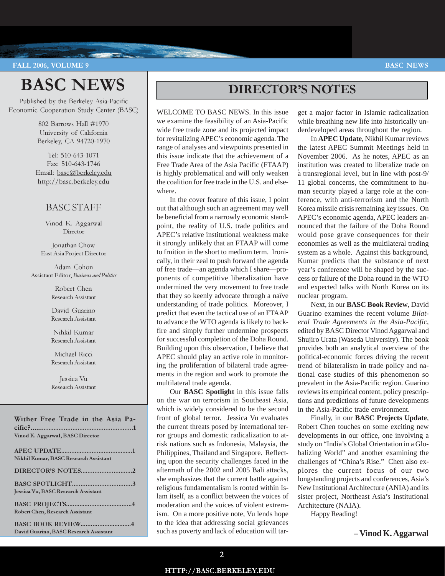# BASC NEWS

Published by the Berkeley Asia-Pacific Economic Cooperation Study Center (BASC)

> 802 Barrows Hall #1970 University of California Berkeley, CA 94720-1970

Tel: 510-643-1071 Fax: 510-643-1746 Email: basc@berkeley.edu http://basc.berkeley.edu

# BASC STAFF

Vinod K. Aggarwal Director

Jonathan Chow East Asia Project Director

Adam Cohon Assistant Editor, Business and Politics

> Robert Chen Research Assistant

> David Guarino Research Assistant

> Nihkil Kumar Research Assistant

Michael Ricci Research Assistant

Jessica Vu Research Assistant

Wither Free Trade in the Asia Pacific?...........................................................1 Vinod K. Aggarwal, BASC Director

| Nikhil Kumar, BASC Research Assistant  |
|----------------------------------------|
|                                        |
| Jessica Vu, BASC Research Assistant    |
| Robert Chen, Research Assistant        |
| David Guarino, BASC Research Assistant |

# DIRECTOR'S NOTES

WELCOME TO BASC NEWS. In this issue we examine the feasibility of an Asia-Pacific wide free trade zone and its projected impact for revitalizing APEC's economic agenda. The range of analyses and viewpoints presented in this issue indicate that the achievement of a Free Trade Area of the Asia Pacific (FTAAP) is highly problematical and will only weaken the coalition for free trade in the U.S. and elsewhere.

In the cover feature of this issue, I point out that although such an agreement may well be beneficial from a narrowly economic standpoint, the reality of U.S. trade politics and APEC's relative institutional weakness make it strongly unlikely that an FTAAP will come to fruition in the short to medium term. Ironically, in their zeal to push forward the agenda of free trade—an agenda which I share—proponents of competitive liberalization have undermined the very movement to free trade that they so keenly advocate through a naïve understanding of trade politics. Moreover, I predict that even the tactical use of an FTAAP to advance the WTO agenda is likely to backfire and simply further undermine prospects for successful completion of the Doha Round. Building upon this observation, I believe that APEC should play an active role in monitoring the proliferation of bilateral trade agreements in the region and work to promote the multilateral trade agenda.

Our **BASC Spotlight** in this issue falls on the war on terrorism in Southeast Asia, which is widely considered to be the second front of global terror. Jessica Vu evaluates the current threats posed by international terror groups and domestic radicalization to atrisk nations such as Indonesia, Malaysia, the Philippines, Thailand and Singapore. Reflecting upon the security challenges faced in the aftermath of the 2002 and 2005 Bali attacks, she emphasizes that the current battle against religious fundamentalism is rooted within Islam itself, as a conflict between the voices of moderation and the voices of violent extremism. On a more positive note, Vu lends hope to the idea that addressing social grievances such as poverty and lack of education will tar-

get a major factor in Islamic radicalization while breathing new life into historically underdeveloped areas throughout the region.

In **APEC Update**, Nikhil Kumar reviews the latest APEC Summit Meetings held in November 2006. As he notes, APEC as an institution was created to liberalize trade on a transregional level, but in line with post-9/ 11 global concerns, the commitment to human security played a large role at the conference, with anti-terrorism and the North Korea missile crisis remaining key issues. On APEC's economic agenda, APEC leaders announced that the failure of the Doha Round would pose grave consequences for their economies as well as the multilateral trading system as a whole. Against this background, Kumar predicts that the substance of next year's conference will be shaped by the success or failure of the Doha round in the WTO and expected talks with North Korea on its nuclear program.

Next, in our **BASC Book Review**, David Guarino examines the recent volume *Bilateral Trade Agreements in the Asia-Pacific*, edited by BASC Director Vinod Aggarwal and Shujiro Urata (Waseda University). The book provides both an analytical overview of the political-economic forces driving the recent trend of bilateralism in trade policy and national case studies of this phenomenon so prevalent in the Asia-Pacific region. Guarino reviews its empirical content, policy prescriptions and predictions of future developments in the Asia-Pacific trade environment.

Finally, in our **BASC Projects Update**, Robert Chen touches on some exciting new developments in our office, one involving a study on "India's Global Orientation in a Globalizing World" and another examining the challenges of "China's Rise." Chen also explores the current focus of our two longstanding projects and conferences, Asia's New Institutional Architecture (ANIA) and its sister project, Northeast Asia's Institutional Architecture (NAIA).

Happy Reading!

**– Vinod K. Aggarwal**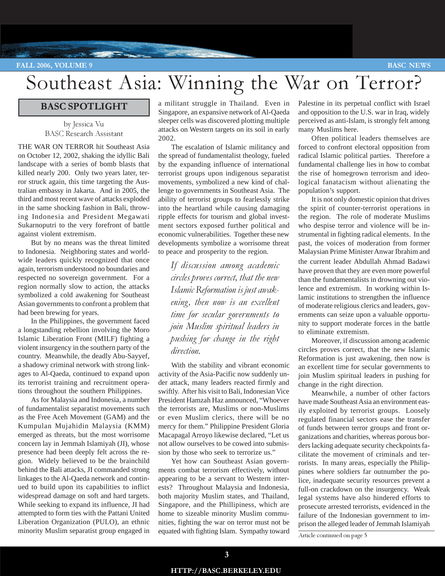# Southeast Asia: Winning the War on Terror?

# BASC SPOTLIGHT

**Company of the Company of the Company of the Company of the Company of the Company of the Company of the Company of the Company of the Company of the Company of the Company of the Company of the Company of the Company of** 

by Jessica Vu BASC Research Assistant

THE WAR ON TERROR hit Southeast Asia on October 12, 2002, shaking the idyllic Bali landscape with a series of bomb blasts that killed nearly 200. Only two years later, terror struck again, this time targeting the Australian embassy in Jakarta. And in 2005, the third and most recent wave of attacks exploded in the same shocking fashion in Bali, throwing Indonesia and President Megawati Sukarnoputri to the very forefront of battle against violent extremism.

But by no means was the threat limited to Indonesia. Neighboring states and worldwide leaders quickly recognized that once again, terrorism understood no boundaries and respected no sovereign government. For a region normally slow to action, the attacks symbolized a cold awakening for Southeast Asian governments to confront a problem that had been brewing for years.

In the Philippines, the government faced a longstanding rebellion involving the Moro Islamic Liberation Front (MILF) fighting a violent insurgency in the southern party of the country. Meanwhile, the deadly Abu-Sayyef, a shadowy criminal network with strong linkages to Al-Qaeda, continued to expand upon its terrorist training and recruitment operations throughout the southern Philippines.

As for Malaysia and Indonesia, a number of fundamentalist separatist movements such as the Free Aceh Movement (GAM) and the Kumpulan Mujahidin Malaysia (KMM) emerged as threats, but the most worrisome concern lay in Jemmah Islamiyah (JI), whose presence had been deeply felt across the region. Widely believed to be the brainchild behind the Bali attacks, JI commanded strong linkages to the Al-Qaeda network and continued to build upon its capabilities to inflict widespread damage on soft and hard targets. While seeking to expand its influence, JI had attempted to form ties with the Pattani United Liberation Organization (PULO), an ethnic minority Muslim separatist group engaged in a militant struggle in Thailand. Even in Singapore, an expansive network of Al-Qaeda sleeper cells was discovered plotting multiple attacks on Western targets on its soil in early 2002.

The escalation of Islamic militancy and the spread of fundamentalist theology, fueled by the expanding influence of international terrorist groups upon indigenous separatist movements, symbolized a new kind of challenge to governments in Southeast Asia. The ability of terrorist groups to fearlessly strike into the heartland while causing damaging ripple effects for tourism and global investment sectors exposed further political and economic vulnerabilities. Together these new developments symbolize a worrisome threat to peace and prosperity to the region.

If discussion among academic circles proves correct, that the new Islamic Reformation is just awakening, then now is an excellent time for secular governments to join Muslim spiritual leaders in pushing for change in the right direction.

With the stability and vibrant economic activity of the Asia-Pacific now suddenly under attack, many leaders reacted firmly and swiftly. After his visit to Bali, Indonesian Vice President Hamzah Haz announced, "Whoever the terrorists are, Muslims or non-Muslims or even Muslim clerics, there will be no mercy for them." Philippine President Gloria Macapagal Arroyo likewise declared, "Let us not allow ourselves to be cowed into submission by those who seek to terrorize us."

Yet how can Southeast Asian governments combat terrorism effectively, without appearing to be a servant to Western interests? Throughout Malaysia and Indonesia, both majority Muslim states, and Thailand, Singapore, and the Phillipiness, which are home to sizeable minority Muslim communities, fighting the war on terror must not be equated with fighting Islam. Sympathy toward Palestine in its perpetual conflict with Israel and opposition to the U.S. war in Iraq, widely perceived as anti-Islam, is strongly felt among many Muslims here.

Often political leaders themselves are forced to confront electoral opposition from radical Islamic political parties. Therefore a fundamental challenge lies in how to combat the rise of homegrown terrorism and ideological fanatacism without alienating the population's support.

It is not only domestic opinion that drives the spirit of counter-terrorist operations in the region. The role of moderate Muslims who despise terror and violence will be instrumental in fighting radical elements. In the past, the voices of moderation from former Malaysian Prime Minister Anwar Ibrahim and the current leader Abdullah Ahmad Badawi have proven that they are even more powerful than the fundamentalists in drowning out violence and extremism. In working within Islamic institutions to strengthen the influence of moderate religious clerics and leaders, governments can seize upon a valuable opportunity to support moderate forces in the battle to eliminate extremism.

Moreover, if discussion among academic circles proves correct, that the new Islamic Reformation is just awakening, then now is an excellent time for secular governments to join Muslim spiritual leaders in pushing for change in the right direction.

Meanwhile, a number of other factors have made Southeast Asia an environment easily exploited by terrorist groups. Loosely regulated financial sectors ease the transfer of funds between terror groups and front organizations and charities, whereas porous borders lacking adequate security checkpoints facilitate the movement of criminals and terrorists. In many areas, especially the Philippines where soldiers far outnumber the police, inadequate security resources prevent a full-on crackdown on the insurgency. Weak legal systems have also hindered efforts to prosecute arrested terrorists, evidenced in the failure of the Indonesian government to imprison the alleged leader of Jemmah Islamiyah

Article continued on page 5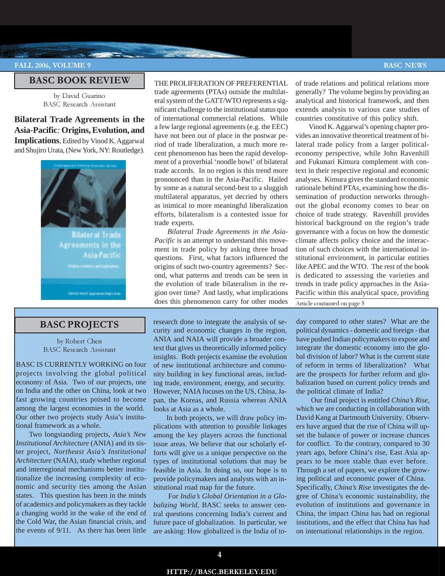#### BASC BOOK REVIEW

**The Company's Company's Company's Company's Company's Company's Company's Company's Company's Company's Company's Company's Company's Company's Company's Company's Company's Company's Company's Company's Company's Company** 

by David Guarino BASC Research Assistant

# **Bilateral Trade Agreements in the Asia-Pacific***:* **Origins, Evolution, and Implications**, Edited by Vinod K. Aggarwal and Shujiro Urata, (New York, NY: Routledge).



## BASC PROJECTS

by Robert Chen BASC Research Assistant

BASC IS CURRENTLY WORKING on four projects involving the global political economy of Asia. Two of our projects, one on India and the other on China, look at two fast growing countries poised to become among the largest economies in the world. Our other two projects study Asia's institutional framework as a whole.

Two longstanding projects, *Asia's New Institutional Architecture* (ANIA) and its sister project, *Northeast Asia's Institutional Architecture* (NAIA), study whether regional and interregional mechanisms better institutionalize the increasing complexity of economic and security ties among the Asian states. This question has been in the minds of academics and policymakers as they tackle a changing world in the wake of the end of the Cold War, the Asian financial crisis, and the events of 9/11. As there has been little

#### THE PROLIFERATION OF PREFERENTIAL

trade agreements (PTAs) outside the multilateral system of the GATT/WTO represents a significant challenge to the institutional status quo of international commercial relations. While a few large regional agreements (e.g. the EEC) have not been out of place in the postwar period of trade liberalization, a much more recent phenomenon has been the rapid development of a proverbial 'noodle bowl' of bilateral trade accords. In no region is this trend more pronounced than in the Asia-Pacific. Hailed by some as a natural second-best to a sluggish multilateral apparatus, yet decried by others as inimical to more meaningful liberalization efforts, bilateralism is a contested issue for trade experts.

*Bilateral Trade Agreements in the Asia-Pacific* is an attempt to understand this movement in trade policy by asking three broad questions. First, what factors influenced the origins of such two-country agreements? Second, what patterns and trends can be seen in the evolution of trade bilateralism in the region over time? And lastly, what implications does this phenomenon carry for other modes

research done to integrate the analysis of security and economic changes in the region, ANIA and NAIA will provide a broader context that gives us theoretically informed policy insights. Both projects examine the evolution of new institutional architecture and community building in key functional areas, including trade, environment, energy, and security. However, NAIA focuses on the US, China, Japan, the Koreas, and Russia whereas ANIA looks at Asia as a whole.

In both projects, we will draw policy implications with attention to possible linkages among the key players across the functional issue areas. We believe that our scholarly efforts will give us a unique perspective on the types of institutional solutions that may be feasible in Asia. In doing so, our hope is to provide policymakers and analysts with an institutional road map for the future.

 For *India's Global Orientation in a Globalizing World,* BASC seeks to answer central questions concerning India's current and future pace of globalization. In particular, we are asking: How globalized is the India of toof trade relations and political relations more generally? The volume begins by providing an analytical and historical framework, and then extends analysis to various case studies of countries constitutive of this policy shift.

Article continued on page 5 Vinod K. Aggarwal's opening chapter provides an innovative theoretical treatment of bilateral trade policy from a larger politicaleconomy perspective, while John Ravenhill and Fukunari Kimura complement with context in their respective regional and economic analyses. Kimura gives the standard economic rationale behind PTAs, examining how the dissemination of production networks throughout the global economy comes to bear on choice of trade strategy. Ravenhill provides historical background on the region's trade governance with a focus on how the domestic climate affects policy choice and the interaction of such choices with the international institutional environment, in particular entities like APEC and the WTO. The rest of the book is dedicated to assessing the varieties and trends in trade policy approaches in the Asia-Pacific within this analytical space, providing

day compared to other states? What are the political dynamics - domestic and foreign - that have pushed Indian policymakers to expose and integrate the domestic economy into the global division of labor? What is the current state of reform in terms of liberalization? What are the prospects for further reform and globalization based on current policy trends and the political climate of India?

 Our final project is entitled *China's Rise,* which we are conducting in collaboration with David Kang at Dartmouth University. Observers have argued that the rise of China will upset the balance of power or increase chances for conflict. To the contrary, compared to 30 years ago, before China's rise, East Asia appears to be more stable than ever before. Through a set of papers, we explore the growing political and economic power of China. Specifically, *China's Rise* investigates the degree of China's economic sustainability, the evolution of institutions and governance in China, the impact China has had on regional institutions, and the effect that China has had on international relationships in the region.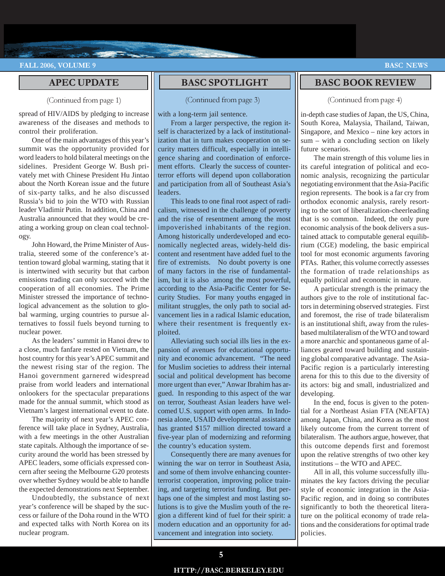## APEC UPDATE

**Contract Contract Contract Contract Contract Contract Contract Contract Contract Contract Contract Contract Contract Contract Contract Contract Contract Contract Contract Contract Contract Contract Contract Contract Contr** 

#### (Continued from page 1)

spread of HIV/AIDS by pledging to increase awareness of the diseases and methods to control their proliferation.

One of the main advantages of this year's summit was the opportunity provided for word leaders to hold bilateral meetings on the sidelines. President George W. Bush privately met with Chinese President Hu Jintao about the North Korean issue and the future of six-party talks, and he also discussed Russia's bid to join the WTO with Russian leader Vladimir Putin. In addition, China and Australia announced that they would be creating a working group on clean coal technology.

John Howard, the Prime Minister of Australia, steered some of the conference's attention toward global warming, stating that it is intertwined with security but that carbon emissions trading can only succeed with the cooperation of all economies. The Prime Minister stressed the importance of technological advancement as the solution to global warming, urging countries to pursue alternatives to fossil fuels beyond turning to nuclear power.

As the leaders' summit in Hanoi drew to a close, much fanfare rested on Vietnam, the host country for this year's APEC summit and the newest rising star of the region. The Hanoi government garnered widespread praise from world leaders and international onlookers for the spectacular preparations made for the annual summit, which stood as Vietnam's largest international event to date.

The majority of next year's APEC conference will take place in Sydney, Australia, with a few meetings in the other Australian state capitals. Although the importance of security around the world has been stressed by APEC leaders, some officials expressed concern after seeing the Melbourne G20 protests over whether Sydney would be able to handle the expected demonstrations next September.

Undoubtedly, the substance of next year's conference will be shaped by the success or failure of the Doha round in the WTO and expected talks with North Korea on its nuclear program.

# BASC SPOTLIGHT

#### (Continued from page 3)

with a long-term jail sentence.

**CONTRACTOR** 

From a larger perspective, the region itself is characterized by a lack of institutionalization that in turn makes cooperation on security matters difficult, especially in intelligence sharing and coordination of enforcement efforts. Clearly the success of counterterror efforts will depend upon collaboration and participation from all of Southeast Asia's leaders.

This leads to one final root aspect of radicalism, witnessed in the challenge of poverty and the rise of resentment among the most impoverished inhabitants of the region. Among historically underdeveloped and economically neglected areas, widely-held discontent and resentment have added fuel to the fire of extremists. No doubt poverty is one of many factors in the rise of fundamentalism, but it is also among the most powerful, according to the Asia-Pacific Center for Security Studies. For many youths engaged in militant struggles, the only path to social advancement lies in a radical Islamic education, where their resentment is frequently exploited.

Alleviating such social ills lies in the expansion of avenues for educational opportunity and economic advancement. "The need for Muslim societies to address their internal social and political development has become more urgent than ever," Anwar Ibrahim has argued. In responding to this aspect of the war on terror, Southeast Asian leaders have welcomed U.S. support with open arms. In Indonesia alone, USAID developmental assistance has granted \$157 million directed toward a five-year plan of modernizing and reforming the country's education system.

Consequently there are many avenues for winning the war on terror in Southeast Asia, and some of them involve enhancing counterterrorist cooperation, improving police training, and targeting terrorist funding. But perhaps one of the simplest and most lasting solutions is to give the Muslim youth of the region a different kind of fuel for their spirit: a modern education and an opportunity for advancement and integration into society.

# BASC BOOK REVIEW

#### (Continued from page 4)

in-depth case studies of Japan, the US, China, South Korea, Malaysia, Thailand, Taiwan, Singapore, and Mexico – nine key actors in sum – with a concluding section on likely future scenarios.

The main strength of this volume lies in its careful integration of political and economic analysis, recognizing the particular negotiating environment that the Asia-Pacific region represents. The book is a far cry from orthodox economic analysis, rarely resorting to the sort of liberalization-cheerleading that is so common. Indeed, the only pure economic analysis of the book delivers a sustained attack to computable general equilibrium (CGE) modeling, the basic empirical tool for most economic arguments favoring PTAs. Rather, this volume correctly assesses the formation of trade relationships as equally political and economic in nature.

A particular strength is the primacy the authors give to the role of institutional factors in determining observed strategies. First and foremost, the rise of trade bilateralism is an institutional shift, away from the rulesbased multilateralism of the WTO and toward a more anarchic and spontaneous game of alliances geared toward building and sustaining global comparative advantage. The Asia-Pacific region is a particularly interesting arena for this to this due to the diversity of its actors: big and small, industrialized and developing.

In the end, focus is given to the potential for a Northeast Asian FTA (NEAFTA) among Japan, China, and Korea as the most likely outcome from the current torrent of bilateralism. The authors argue, however, that this outcome depends first and foremost upon the relative strengths of two other key institutions – the WTO and APEC.

All in all, this volume successfully illuminates the key factors driving the peculiar style of economic integration in the Asia-Pacific region, and in doing so contributes significantly to both the theoretical literature on the political economy of trade relations and the considerations for optimal trade policies.